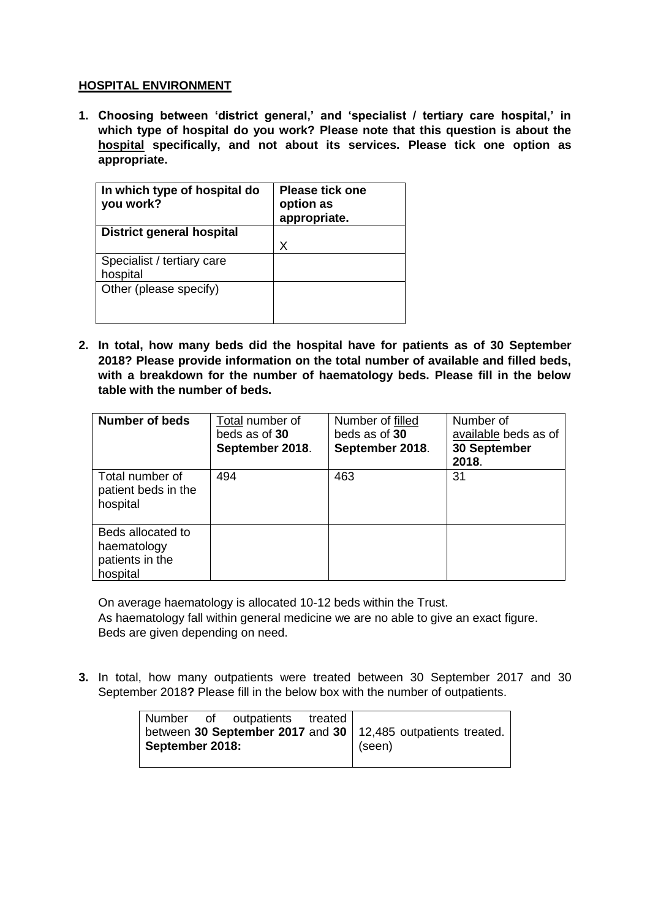## **HOSPITAL ENVIRONMENT**

**1. Choosing between 'district general,' and 'specialist / tertiary care hospital,' in which type of hospital do you work? Please note that this question is about the hospital specifically, and not about its services. Please tick one option as appropriate.**

| In which type of hospital do<br>you work? | <b>Please tick one</b><br>option as<br>appropriate. |
|-------------------------------------------|-----------------------------------------------------|
| <b>District general hospital</b>          |                                                     |
|                                           | х                                                   |
| Specialist / tertiary care                |                                                     |
| hospital                                  |                                                     |
| Other (please specify)                    |                                                     |
|                                           |                                                     |
|                                           |                                                     |

**2. In total, how many beds did the hospital have for patients as of 30 September 2018? Please provide information on the total number of available and filled beds, with a breakdown for the number of haematology beds. Please fill in the below table with the number of beds.**

| <b>Number of beds</b>                                           | Total number of<br>beds as of 30<br>September 2018. | Number of filled<br>beds as of 30<br>September 2018. | Number of<br>available beds as of<br>30 September<br>2018. |
|-----------------------------------------------------------------|-----------------------------------------------------|------------------------------------------------------|------------------------------------------------------------|
| Total number of<br>patient beds in the<br>hospital              | 494                                                 | 463                                                  | 31                                                         |
| Beds allocated to<br>haematology<br>patients in the<br>hospital |                                                     |                                                      |                                                            |

On average haematology is allocated 10-12 beds within the Trust. As haematology fall within general medicine we are no able to give an exact figure. Beds are given depending on need.

**3.** In total, how many outpatients were treated between 30 September 2017 and 30 September 2018**?** Please fill in the below box with the number of outpatients.

|                 | Number of outpatients treated |                                                                |
|-----------------|-------------------------------|----------------------------------------------------------------|
|                 |                               | between 30 September 2017 and 30   12,485 outpatients treated. |
| September 2018: |                               | $ $ (seen)                                                     |
|                 |                               |                                                                |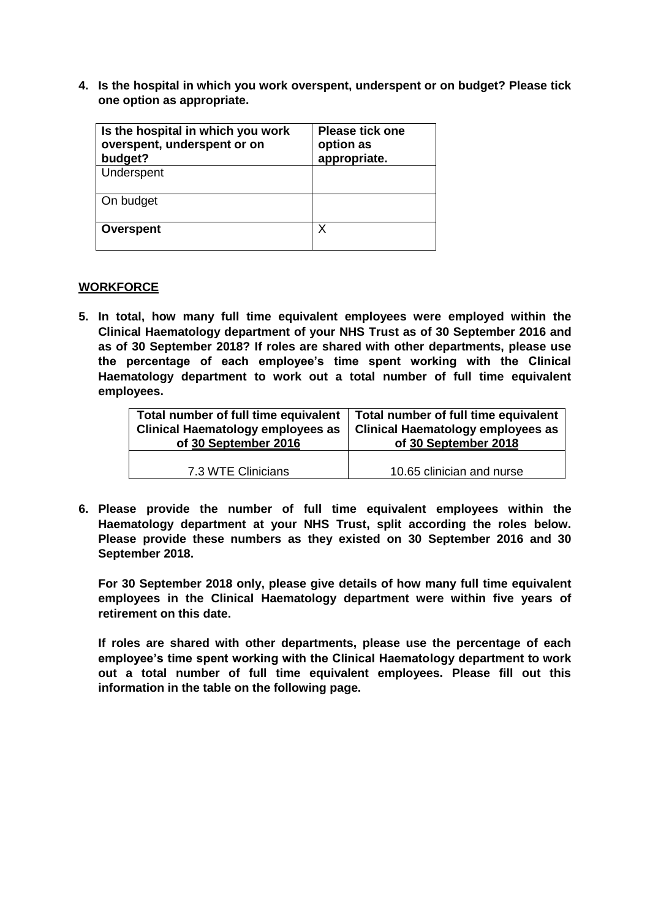**4. Is the hospital in which you work overspent, underspent or on budget? Please tick one option as appropriate.**

| Is the hospital in which you work<br>overspent, underspent or on<br>budget? | <b>Please tick one</b><br>option as<br>appropriate. |
|-----------------------------------------------------------------------------|-----------------------------------------------------|
| Underspent                                                                  |                                                     |
| On budget                                                                   |                                                     |
| <b>Overspent</b>                                                            | χ                                                   |

### **WORKFORCE**

**5. In total, how many full time equivalent employees were employed within the Clinical Haematology department of your NHS Trust as of 30 September 2016 and as of 30 September 2018? If roles are shared with other departments, please use the percentage of each employee's time spent working with the Clinical Haematology department to work out a total number of full time equivalent employees.**

| Total number of full time equivalent     | Total number of full time equivalent     |  |
|------------------------------------------|------------------------------------------|--|
| <b>Clinical Haematology employees as</b> | <b>Clinical Haematology employees as</b> |  |
| of 30 September 2016                     | of 30 September 2018                     |  |
| 7.3 WTE Clinicians                       | 10.65 clinician and nurse                |  |

**6. Please provide the number of full time equivalent employees within the Haematology department at your NHS Trust, split according the roles below. Please provide these numbers as they existed on 30 September 2016 and 30 September 2018.**

**For 30 September 2018 only, please give details of how many full time equivalent employees in the Clinical Haematology department were within five years of retirement on this date.**

**If roles are shared with other departments, please use the percentage of each employee's time spent working with the Clinical Haematology department to work out a total number of full time equivalent employees. Please fill out this information in the table on the following page.**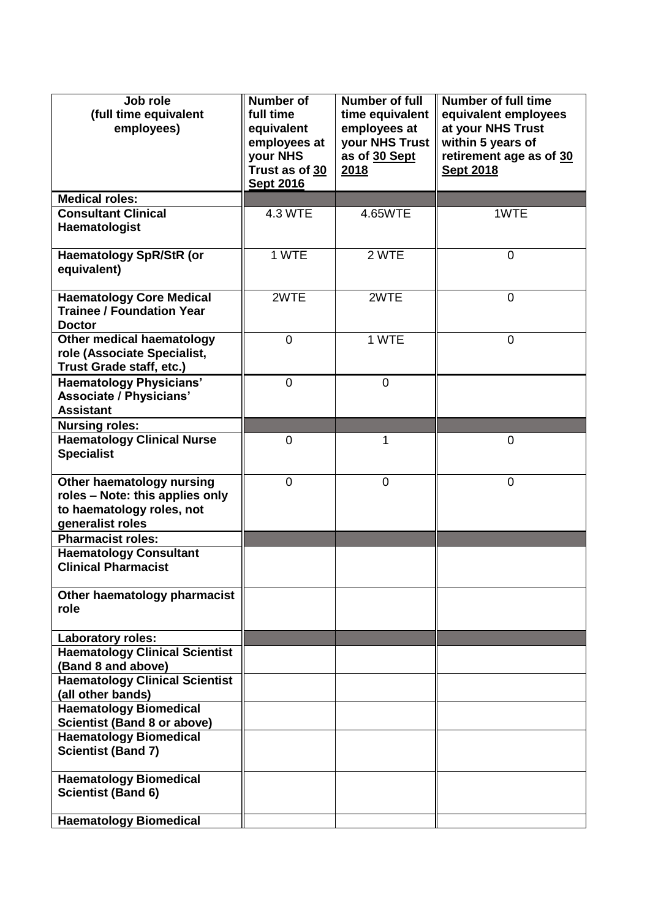| Job role<br>(full time equivalent<br>employees)                                                               | <b>Number of</b><br>full time<br>equivalent<br>employees at<br>your NHS<br>Trust as of 30<br><b>Sept 2016</b> | Number of full<br>time equivalent<br>employees at<br>your NHS Trust<br>as of 30 Sept<br>2018 | <b>Number of full time</b><br>equivalent employees<br>at your NHS Trust<br>within 5 years of<br>retirement age as of 30<br><b>Sept 2018</b> |
|---------------------------------------------------------------------------------------------------------------|---------------------------------------------------------------------------------------------------------------|----------------------------------------------------------------------------------------------|---------------------------------------------------------------------------------------------------------------------------------------------|
| <b>Medical roles:</b>                                                                                         |                                                                                                               |                                                                                              |                                                                                                                                             |
| <b>Consultant Clinical</b><br>Haematologist                                                                   | <b>4.3 WTE</b>                                                                                                | 4.65WTE                                                                                      | 1WTE                                                                                                                                        |
| <b>Haematology SpR/StR (or</b><br>equivalent)                                                                 | 1 WTE                                                                                                         | 2 WTE                                                                                        | $\overline{0}$                                                                                                                              |
| <b>Haematology Core Medical</b><br><b>Trainee / Foundation Year</b><br><b>Doctor</b>                          | 2WTE                                                                                                          | 2WTE                                                                                         | $\mathbf 0$                                                                                                                                 |
| Other medical haematology<br>role (Associate Specialist,<br>Trust Grade staff, etc.)                          | $\overline{0}$                                                                                                | 1 WTE                                                                                        | $\overline{0}$                                                                                                                              |
| <b>Haematology Physicians'</b><br>Associate / Physicians'<br><b>Assistant</b>                                 | $\overline{0}$                                                                                                | $\overline{0}$                                                                               |                                                                                                                                             |
| <b>Nursing roles:</b>                                                                                         |                                                                                                               |                                                                                              |                                                                                                                                             |
| <b>Haematology Clinical Nurse</b><br><b>Specialist</b>                                                        | 0                                                                                                             | 1                                                                                            | 0                                                                                                                                           |
| Other haematology nursing<br>roles - Note: this applies only<br>to haematology roles, not<br>generalist roles | 0                                                                                                             | $\overline{0}$                                                                               | $\overline{0}$                                                                                                                              |
| <b>Pharmacist roles:</b>                                                                                      |                                                                                                               |                                                                                              |                                                                                                                                             |
| <b>Haematology Consultant</b><br><b>Clinical Pharmacist</b>                                                   |                                                                                                               |                                                                                              |                                                                                                                                             |
| Other haematology pharmacist<br>role                                                                          |                                                                                                               |                                                                                              |                                                                                                                                             |
| <b>Laboratory roles:</b>                                                                                      |                                                                                                               |                                                                                              |                                                                                                                                             |
| <b>Haematology Clinical Scientist</b><br>(Band 8 and above)                                                   |                                                                                                               |                                                                                              |                                                                                                                                             |
| <b>Haematology Clinical Scientist</b><br>(all other bands)                                                    |                                                                                                               |                                                                                              |                                                                                                                                             |
| <b>Haematology Biomedical</b><br><b>Scientist (Band 8 or above)</b>                                           |                                                                                                               |                                                                                              |                                                                                                                                             |
| <b>Haematology Biomedical</b><br><b>Scientist (Band 7)</b>                                                    |                                                                                                               |                                                                                              |                                                                                                                                             |
| <b>Haematology Biomedical</b><br><b>Scientist (Band 6)</b>                                                    |                                                                                                               |                                                                                              |                                                                                                                                             |
| <b>Haematology Biomedical</b>                                                                                 |                                                                                                               |                                                                                              |                                                                                                                                             |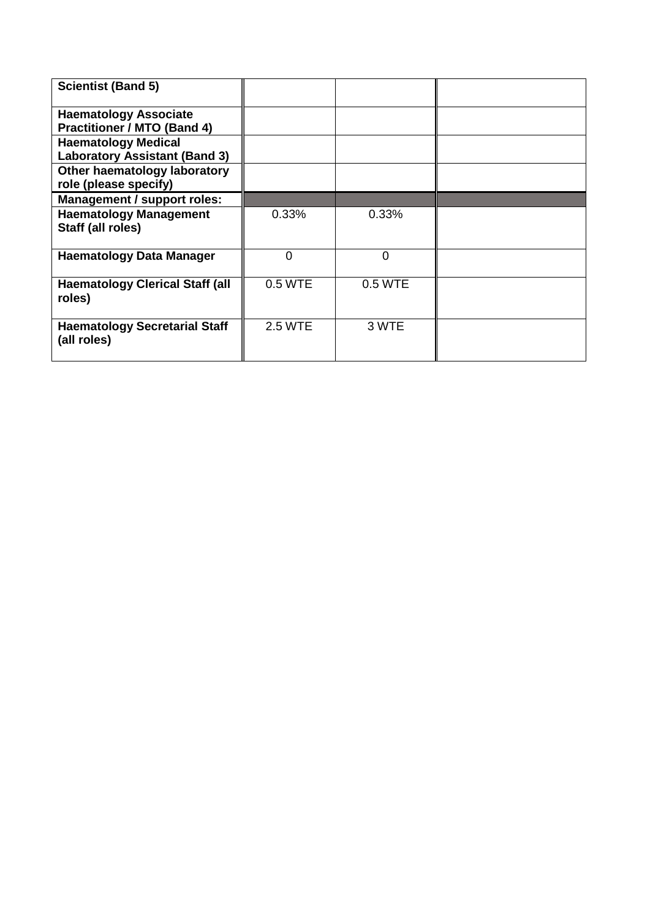| <b>Scientist (Band 5)</b>                           |                |          |  |
|-----------------------------------------------------|----------------|----------|--|
| <b>Haematology Associate</b>                        |                |          |  |
| <b>Practitioner / MTO (Band 4)</b>                  |                |          |  |
| <b>Haematology Medical</b>                          |                |          |  |
| <b>Laboratory Assistant (Band 3)</b>                |                |          |  |
| Other haematology laboratory                        |                |          |  |
| role (please specify)                               |                |          |  |
| <b>Management / support roles:</b>                  |                |          |  |
| <b>Haematology Management</b>                       | 0.33%          | 0.33%    |  |
| Staff (all roles)                                   |                |          |  |
| <b>Haematology Data Manager</b>                     | ი              | $\Omega$ |  |
| <b>Haematology Clerical Staff (all</b><br>roles)    | 0.5 WTE        | 0.5 WTE  |  |
| <b>Haematology Secretarial Staff</b><br>(all roles) | <b>2.5 WTE</b> | 3 WTE    |  |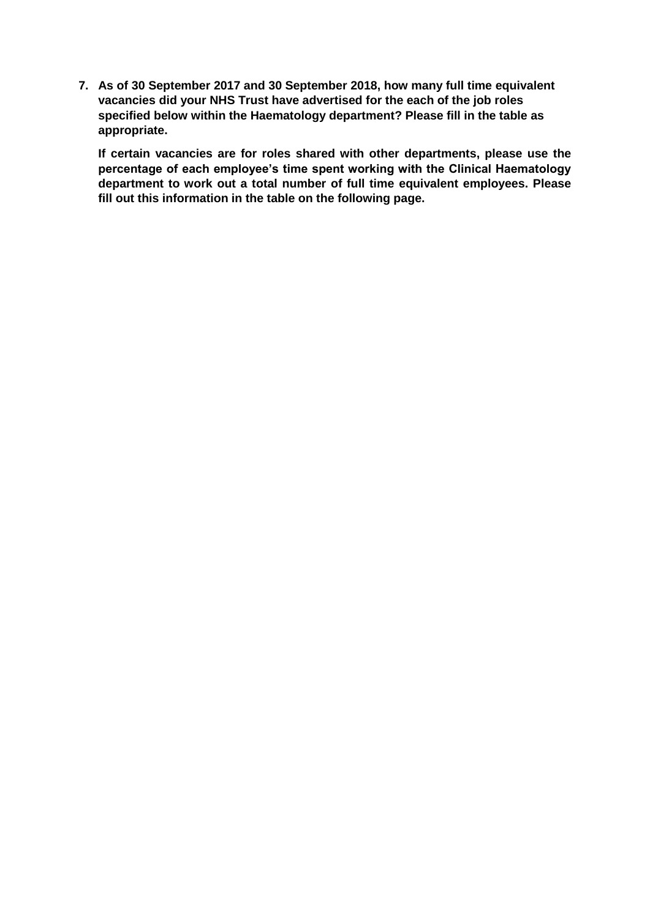**7. As of 30 September 2017 and 30 September 2018, how many full time equivalent vacancies did your NHS Trust have advertised for the each of the job roles specified below within the Haematology department? Please fill in the table as appropriate.**

**If certain vacancies are for roles shared with other departments, please use the percentage of each employee's time spent working with the Clinical Haematology department to work out a total number of full time equivalent employees. Please fill out this information in the table on the following page.**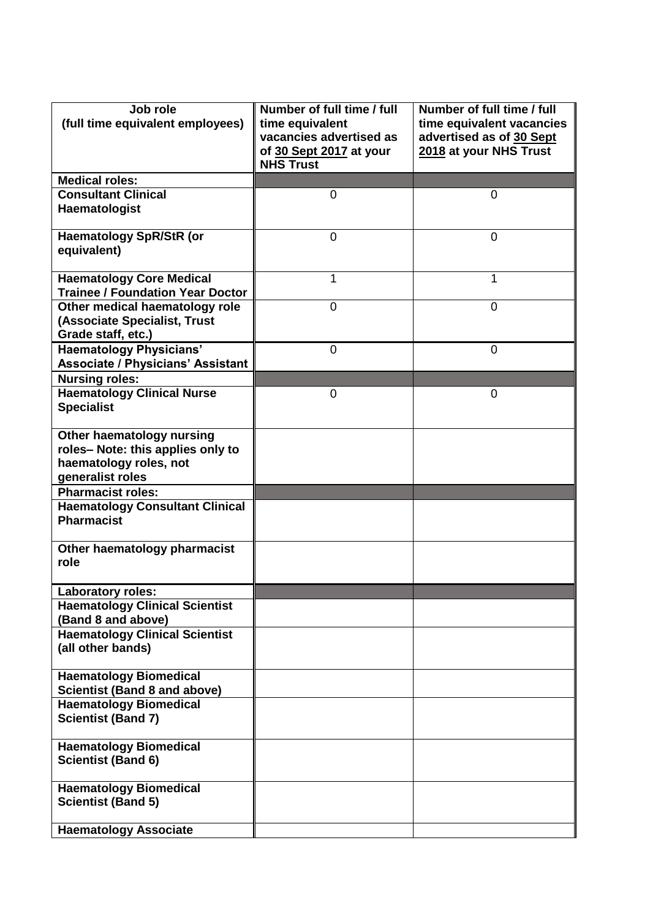| Job role<br>(full time equivalent employees)                                                                | Number of full time / full<br>time equivalent<br>vacancies advertised as<br>of 30 Sept 2017 at your<br><b>NHS Trust</b> | Number of full time / full<br>time equivalent vacancies<br>advertised as of 30 Sept<br>2018 at your NHS Trust |
|-------------------------------------------------------------------------------------------------------------|-------------------------------------------------------------------------------------------------------------------------|---------------------------------------------------------------------------------------------------------------|
| <b>Medical roles:</b>                                                                                       |                                                                                                                         |                                                                                                               |
| <b>Consultant Clinical</b><br>Haematologist                                                                 | 0                                                                                                                       | 0                                                                                                             |
| <b>Haematology SpR/StR (or</b><br>equivalent)                                                               | $\overline{0}$                                                                                                          | 0                                                                                                             |
| <b>Haematology Core Medical</b><br><b>Trainee / Foundation Year Doctor</b>                                  | 1                                                                                                                       | 1                                                                                                             |
| Other medical haematology role<br>(Associate Specialist, Trust<br>Grade staff, etc.)                        | $\overline{0}$                                                                                                          | 0                                                                                                             |
| <b>Haematology Physicians'</b><br><b>Associate / Physicians' Assistant</b>                                  | $\overline{0}$                                                                                                          | 0                                                                                                             |
| <b>Nursing roles:</b><br><b>Haematology Clinical Nurse</b><br><b>Specialist</b>                             | 0                                                                                                                       | 0                                                                                                             |
| Other haematology nursing<br>roles-Note: this applies only to<br>haematology roles, not<br>generalist roles |                                                                                                                         |                                                                                                               |
| <b>Pharmacist roles:</b>                                                                                    |                                                                                                                         |                                                                                                               |
| <b>Haematology Consultant Clinical</b><br><b>Pharmacist</b>                                                 |                                                                                                                         |                                                                                                               |
| Other haematology pharmacist<br>role                                                                        |                                                                                                                         |                                                                                                               |
| Laboratory roles:                                                                                           |                                                                                                                         |                                                                                                               |
| <b>Haematology Clinical Scientist</b><br>(Band 8 and above)                                                 |                                                                                                                         |                                                                                                               |
| <b>Haematology Clinical Scientist</b><br>(all other bands)                                                  |                                                                                                                         |                                                                                                               |
| <b>Haematology Biomedical</b><br><b>Scientist (Band 8 and above)</b>                                        |                                                                                                                         |                                                                                                               |
| <b>Haematology Biomedical</b><br><b>Scientist (Band 7)</b>                                                  |                                                                                                                         |                                                                                                               |
| <b>Haematology Biomedical</b><br><b>Scientist (Band 6)</b>                                                  |                                                                                                                         |                                                                                                               |
| <b>Haematology Biomedical</b><br><b>Scientist (Band 5)</b>                                                  |                                                                                                                         |                                                                                                               |
| <b>Haematology Associate</b>                                                                                |                                                                                                                         |                                                                                                               |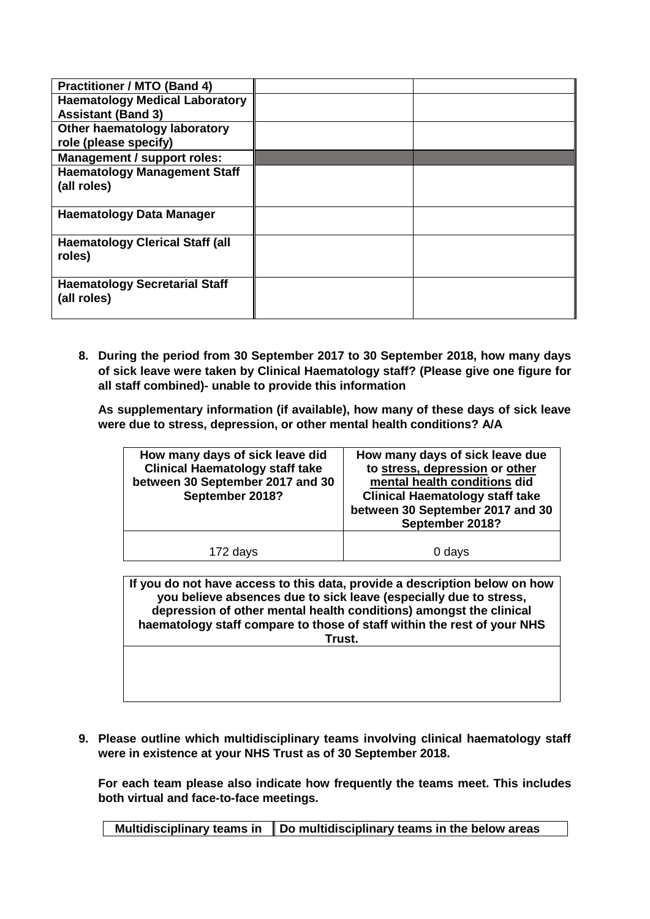| <b>Practitioner / MTO (Band 4)</b>     |  |
|----------------------------------------|--|
| <b>Haematology Medical Laboratory</b>  |  |
| <b>Assistant (Band 3)</b>              |  |
| Other haematology laboratory           |  |
| role (please specify)                  |  |
| <b>Management / support roles:</b>     |  |
| <b>Haematology Management Staff</b>    |  |
| (all roles)                            |  |
|                                        |  |
| <b>Haematology Data Manager</b>        |  |
|                                        |  |
| <b>Haematology Clerical Staff (all</b> |  |
| roles)                                 |  |
|                                        |  |
| <b>Haematology Secretarial Staff</b>   |  |
| (all roles)                            |  |
|                                        |  |

**8. During the period from 30 September 2017 to 30 September 2018, how many days of sick leave were taken by Clinical Haematology staff? (Please give one figure for all staff combined)- unable to provide this information**

**As supplementary information (if available), how many of these days of sick leave were due to stress, depression, or other mental health conditions? A/A**

| How many days of sick leave did<br><b>Clinical Haematology staff take</b><br>between 30 September 2017 and 30<br>September 2018? | How many days of sick leave due<br>to stress, depression or other<br>mental health conditions did<br><b>Clinical Haematology staff take</b><br>between 30 September 2017 and 30<br>September 2018? |
|----------------------------------------------------------------------------------------------------------------------------------|----------------------------------------------------------------------------------------------------------------------------------------------------------------------------------------------------|
| 172 days                                                                                                                         | 0 days                                                                                                                                                                                             |

**If you do not have access to this data, provide a description below on how you believe absences due to sick leave (especially due to stress, depression of other mental health conditions) amongst the clinical haematology staff compare to those of staff within the rest of your NHS Trust.**

**9. Please outline which multidisciplinary teams involving clinical haematology staff were in existence at your NHS Trust as of 30 September 2018.**

**For each team please also indicate how frequently the teams meet. This includes both virtual and face-to-face meetings.**

**Multidisciplinary teams in Do multidisciplinary teams in the below areas**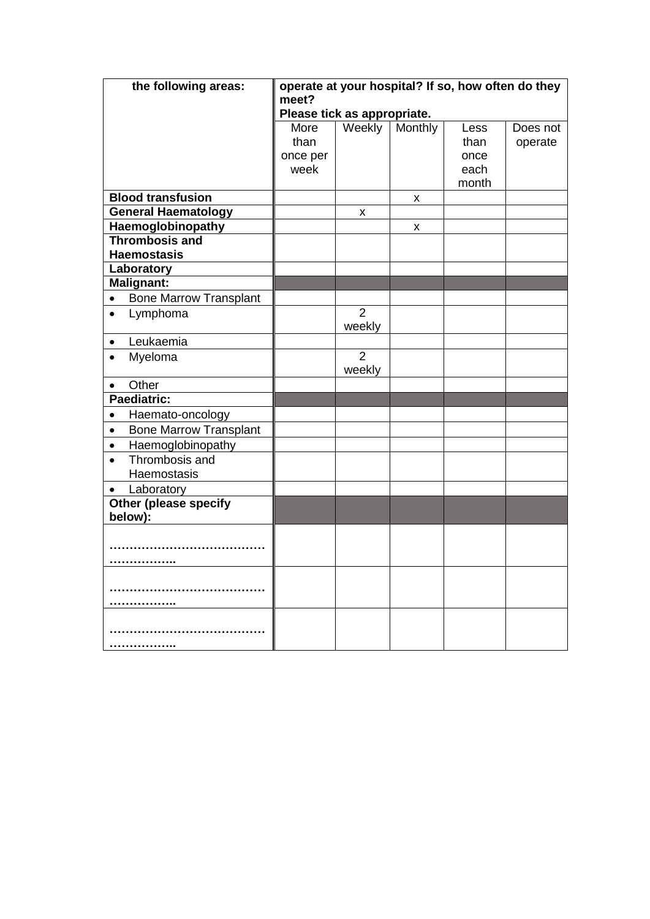| the following areas:                       | operate at your hospital? If so, how often do they<br>meet? |                |         |       |          |
|--------------------------------------------|-------------------------------------------------------------|----------------|---------|-------|----------|
|                                            | Please tick as appropriate.                                 |                |         |       |          |
|                                            | More                                                        | Weekly         | Monthly | Less  | Does not |
|                                            | than                                                        |                |         | than  | operate  |
|                                            | once per                                                    |                |         | once  |          |
|                                            | week                                                        |                |         | each  |          |
|                                            |                                                             |                |         | month |          |
| <b>Blood transfusion</b>                   |                                                             |                | X       |       |          |
| <b>General Haematology</b>                 |                                                             | x              |         |       |          |
| Haemoglobinopathy<br><b>Thrombosis and</b> |                                                             |                | X       |       |          |
| <b>Haemostasis</b>                         |                                                             |                |         |       |          |
| Laboratory                                 |                                                             |                |         |       |          |
| <b>Malignant:</b>                          |                                                             |                |         |       |          |
| <b>Bone Marrow Transplant</b><br>$\bullet$ |                                                             |                |         |       |          |
| Lymphoma<br>$\bullet$                      |                                                             | $\overline{2}$ |         |       |          |
|                                            |                                                             | weekly         |         |       |          |
| Leukaemia<br>$\bullet$                     |                                                             |                |         |       |          |
| Myeloma<br>$\bullet$                       |                                                             | $\overline{2}$ |         |       |          |
|                                            |                                                             | weekly         |         |       |          |
| Other<br>$\bullet$                         |                                                             |                |         |       |          |
| Paediatric:                                |                                                             |                |         |       |          |
| Haemato-oncology<br>$\bullet$              |                                                             |                |         |       |          |
| <b>Bone Marrow Transplant</b><br>$\bullet$ |                                                             |                |         |       |          |
| Haemoglobinopathy<br>$\bullet$             |                                                             |                |         |       |          |
| Thrombosis and<br>$\bullet$                |                                                             |                |         |       |          |
| Haemostasis                                |                                                             |                |         |       |          |
| Laboratory<br>$\bullet$                    |                                                             |                |         |       |          |
| <b>Other (please specify</b>               |                                                             |                |         |       |          |
| below):                                    |                                                             |                |         |       |          |
|                                            |                                                             |                |         |       |          |
|                                            |                                                             |                |         |       |          |
|                                            |                                                             |                |         |       |          |
|                                            |                                                             |                |         |       |          |
|                                            |                                                             |                |         |       |          |
|                                            |                                                             |                |         |       |          |
|                                            |                                                             |                |         |       |          |
|                                            |                                                             |                |         |       |          |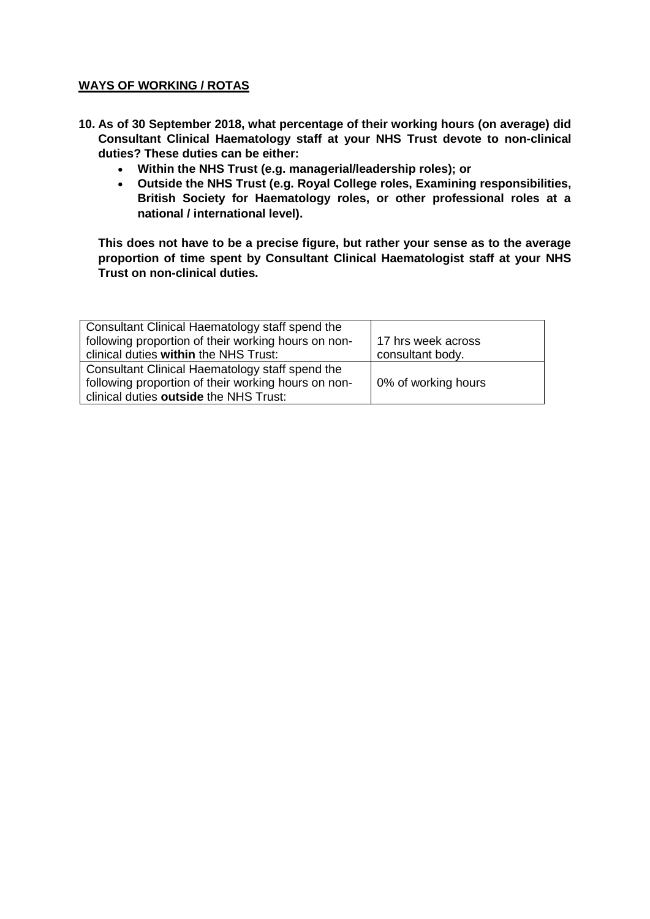# **WAYS OF WORKING / ROTAS**

- **10. As of 30 September 2018, what percentage of their working hours (on average) did Consultant Clinical Haematology staff at your NHS Trust devote to non-clinical duties? These duties can be either:**
	- **Within the NHS Trust (e.g. managerial/leadership roles); or**
	- **Outside the NHS Trust (e.g. Royal College roles, Examining responsibilities, British Society for Haematology roles, or other professional roles at a national / international level).**

**This does not have to be a precise figure, but rather your sense as to the average proportion of time spent by Consultant Clinical Haematologist staff at your NHS Trust on non-clinical duties.**

| Consultant Clinical Haematology staff spend the     |                     |
|-----------------------------------------------------|---------------------|
| following proportion of their working hours on non- | 17 hrs week across  |
| clinical duties within the NHS Trust:               | consultant body.    |
| Consultant Clinical Haematology staff spend the     |                     |
| following proportion of their working hours on non- | 0% of working hours |
| clinical duties outside the NHS Trust:              |                     |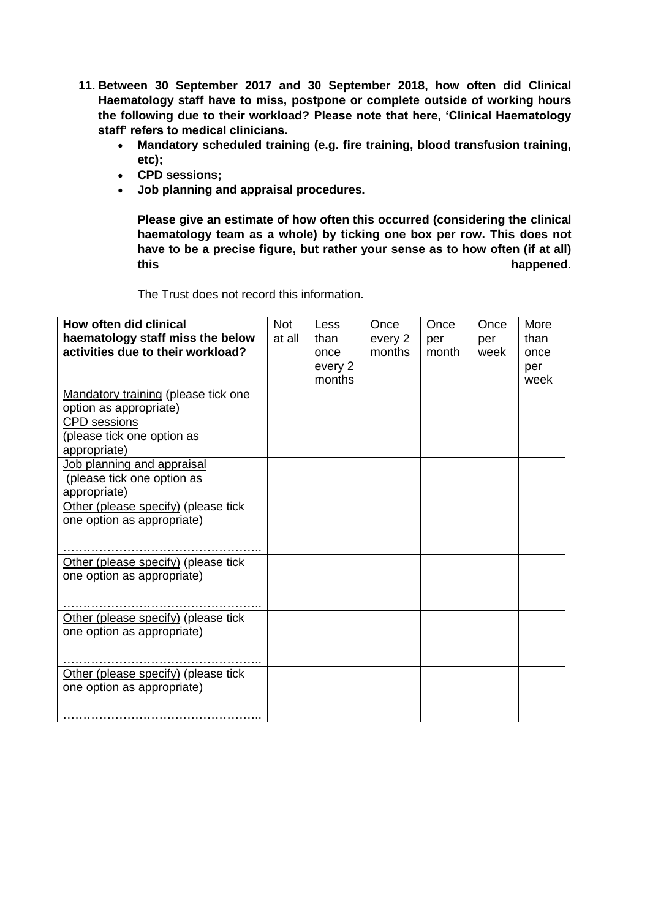- **11. Between 30 September 2017 and 30 September 2018, how often did Clinical Haematology staff have to miss, postpone or complete outside of working hours the following due to their workload? Please note that here, 'Clinical Haematology staff' refers to medical clinicians.**
	- **Mandatory scheduled training (e.g. fire training, blood transfusion training, etc);**
	- **CPD sessions;**
	- **Job planning and appraisal procedures.**

**Please give an estimate of how often this occurred (considering the clinical haematology team as a whole) by ticking one box per row. This does not have to be a precise figure, but rather your sense as to how often (if at all)**  this happened.

The Trust does not record this information.

| <b>How often did clinical</b><br>haematology staff miss the below        | <b>Not</b><br>at all | Less<br>than              | Once<br>every 2 | Once<br>per | Once<br>per | More<br>than        |
|--------------------------------------------------------------------------|----------------------|---------------------------|-----------------|-------------|-------------|---------------------|
| activities due to their workload?                                        |                      | once<br>every 2<br>months | months          | month       | week        | once<br>per<br>week |
| Mandatory training (please tick one<br>option as appropriate)            |                      |                           |                 |             |             |                     |
| <b>CPD</b> sessions<br>(please tick one option as<br>appropriate)        |                      |                           |                 |             |             |                     |
| Job planning and appraisal<br>(please tick one option as<br>appropriate) |                      |                           |                 |             |             |                     |
| Other (please specify) (please tick<br>one option as appropriate)        |                      |                           |                 |             |             |                     |
| Other (please specify) (please tick<br>one option as appropriate)        |                      |                           |                 |             |             |                     |
| Other (please specify) (please tick<br>one option as appropriate)        |                      |                           |                 |             |             |                     |
| Other (please specify) (please tick<br>one option as appropriate)        |                      |                           |                 |             |             |                     |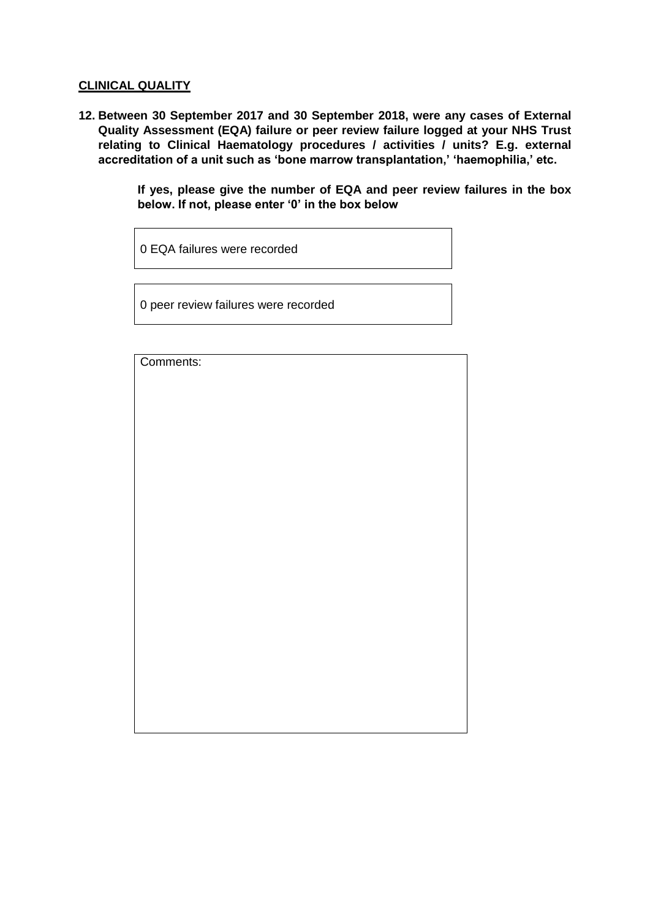### **CLINICAL QUALITY**

**12. Between 30 September 2017 and 30 September 2018, were any cases of External Quality Assessment (EQA) failure or peer review failure logged at your NHS Trust relating to Clinical Haematology procedures / activities / units? E.g. external accreditation of a unit such as 'bone marrow transplantation,' 'haemophilia,' etc.**

> **If yes, please give the number of EQA and peer review failures in the box below. If not, please enter '0' in the box below**

0 EQA failures were recorded

0 peer review failures were recorded

Comments: